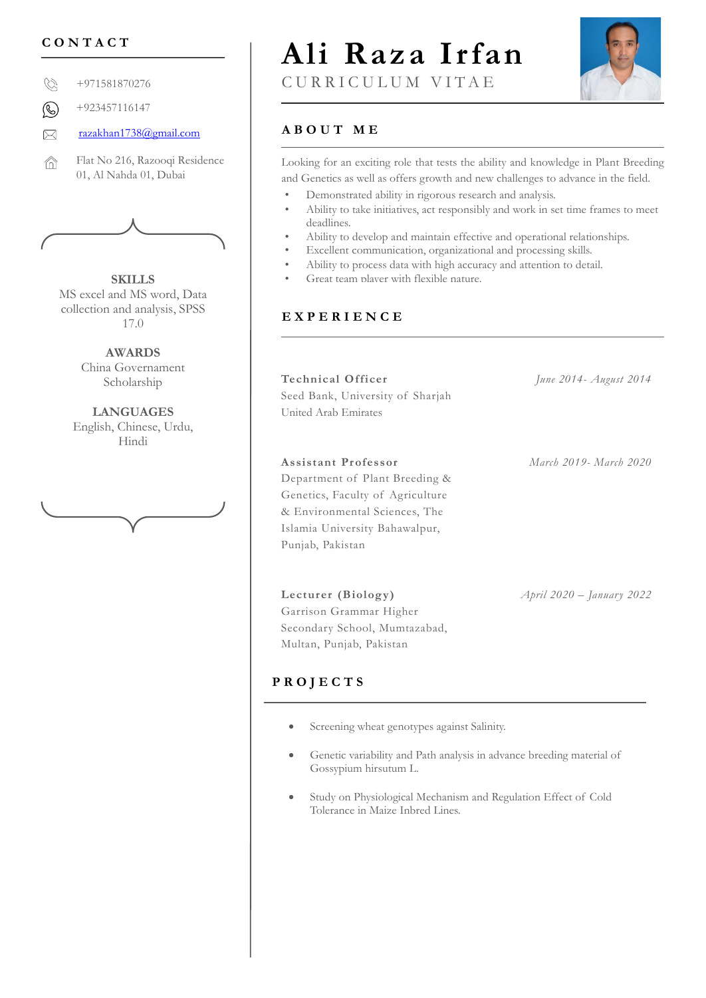Ø +971581870276

+923457116147  $\circledR$ 

[razakhan1738@gmail.com](mailto:razakhan1738@gmail.com) **A B O U T M E**  $\bowtie$ 

Flat No 216, Razooqi Residence ⋒ 01, Al Nahda 01, Dubai



**SKILLS** MS excel and MS word, Data collection and analysis, SPSS 17.0

> **AWARDS** China Governament Scholarship

**LANGUAGES** English, Chinese, Urdu, Hindi

# **CONTACT** | Ali Raza Irfan



## C U R R I C U L U M V I T A E

Looking for an exciting role that tests the ability and knowledge in Plant Breeding and Genetics as well as offers growth and new challenges to advance in the field.

- Demonstrated ability in rigorous research and analysis.
- Ability to take initiatives, act responsibly and work in set time frames to meet deadlines.
- Ability to develop and maintain effective and operational relationships.
- Excellent communication, organizational and processing skills.
- Ability to process data with high accuracy and attention to detail.
- Great team player with flexible nature.

#### **E X P E R I E N C E**

**Technical Of ficer** Seed Bank, University of Sharjah *June 2014- August 2014* United Arab Emirates

#### **Assistant Pr ofessor**

Department of Plant Breeding & Genetics, Faculty of Agriculture & Environmental Sciences, The Islamia University Bahawalpur, Punjab, Pakistan

*March 2019- March 2020*

*April 2020 – January 2022*

### Multan, Punjab, Pakistan

Lecturer *(Biology)* Garrison Grammar Higher Secondary School, Mumtazabad,

### **P R O J E C T S**

- Screening wheat genotypes against Salinity.
- Genetic variability and Path analysis in advance breeding material of Gossypium hirsutum L.
- Study on Physiological Mechanism and Regulation Effect of Cold Tolerance in Maize Inbred Lines.